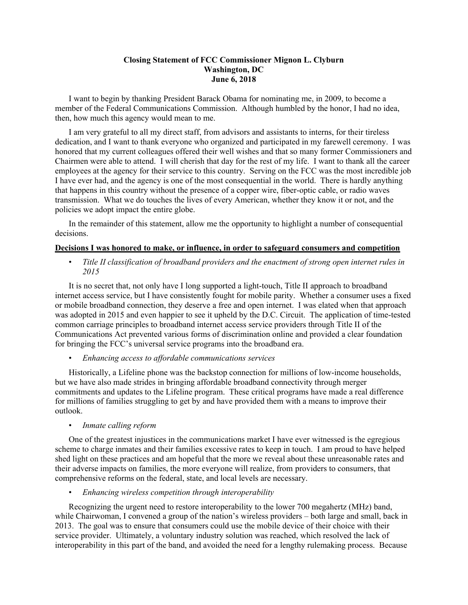### **Closing Statement of FCC Commissioner Mignon L. Clyburn Washington, DC June 6, 2018**

I want to begin by thanking President Barack Obama for nominating me, in 2009, to become a member of the Federal Communications Commission. Although humbled by the honor, I had no idea, then, how much this agency would mean to me.

I am very grateful to all my direct staff, from advisors and assistants to interns, for their tireless dedication, and I want to thank everyone who organized and participated in my farewell ceremony. I was honored that my current colleagues offered their well wishes and that so many former Commissioners and Chairmen were able to attend. I will cherish that day for the rest of my life. I want to thank all the career employees at the agency for their service to this country. Serving on the FCC was the most incredible job I have ever had, and the agency is one of the most consequential in the world. There is hardly anything that happens in this country without the presence of a copper wire, fiber-optic cable, or radio waves transmission. What we do touches the lives of every American, whether they know it or not, and the policies we adopt impact the entire globe.

In the remainder of this statement, allow me the opportunity to highlight a number of consequential decisions.

#### **Decisions I was honored to make, or influence, in order to safeguard consumers and competition**

• *Title II classification of broadband providers and the enactment of strong open internet rules in 2015*

It is no secret that, not only have I long supported a light-touch, Title II approach to broadband internet access service, but I have consistently fought for mobile parity. Whether a consumer uses a fixed or mobile broadband connection, they deserve a free and open internet. I was elated when that approach was adopted in 2015 and even happier to see it upheld by the D.C. Circuit. The application of time-tested common carriage principles to broadband internet access service providers through Title II of the Communications Act prevented various forms of discrimination online and provided a clear foundation for bringing the FCC's universal service programs into the broadband era.

• *Enhancing access to affordable communications services*

Historically, a Lifeline phone was the backstop connection for millions of low-income households, but we have also made strides in bringing affordable broadband connectivity through merger commitments and updates to the Lifeline program. These critical programs have made a real difference for millions of families struggling to get by and have provided them with a means to improve their outlook.

• *Inmate calling reform*

One of the greatest injustices in the communications market I have ever witnessed is the egregious scheme to charge inmates and their families excessive rates to keep in touch. I am proud to have helped shed light on these practices and am hopeful that the more we reveal about these unreasonable rates and their adverse impacts on families, the more everyone will realize, from providers to consumers, that comprehensive reforms on the federal, state, and local levels are necessary.

• *Enhancing wireless competition through interoperability*

Recognizing the urgent need to restore interoperability to the lower 700 megahertz (MHz) band, while Chairwoman, I convened a group of the nation's wireless providers – both large and small, back in 2013. The goal was to ensure that consumers could use the mobile device of their choice with their service provider. Ultimately, a voluntary industry solution was reached, which resolved the lack of interoperability in this part of the band, and avoided the need for a lengthy rulemaking process. Because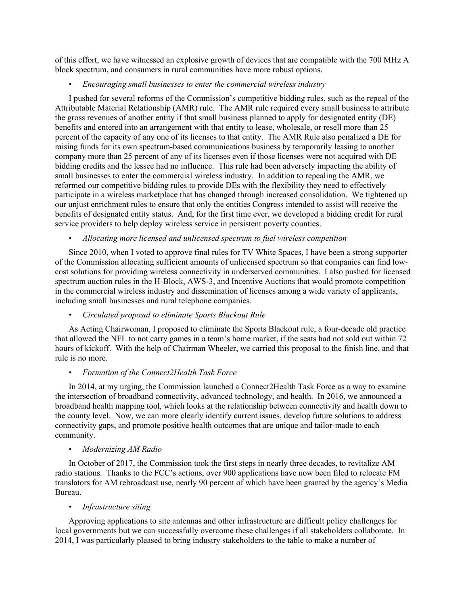of this effort, we have witnessed an explosive growth of devices that are compatible with the 700 MHz A block spectrum, and consumers in rural communities have more robust options.

### • *Encouraging small businesses to enter the commercial wireless industry*

I pushed for several reforms of the Commission's competitive bidding rules, such as the repeal of the Attributable Material Relationship (AMR) rule. The AMR rule required every small business to attribute the gross revenues of another entity if that small business planned to apply for designated entity (DE) benefits and entered into an arrangement with that entity to lease, wholesale, or resell more than 25 percent of the capacity of any one of its licenses to that entity. The AMR Rule also penalized a DE for raising funds for its own spectrum-based communications business by temporarily leasing to another company more than 25 percent of any of its licenses even if those licenses were not acquired with DE bidding credits and the lessee had no influence. This rule had been adversely impacting the ability of small businesses to enter the commercial wireless industry. In addition to repealing the AMR, we reformed our competitive bidding rules to provide DEs with the flexibility they need to effectively participate in a wireless marketplace that has changed through increased consolidation. We tightened up our unjust enrichment rules to ensure that only the entities Congress intended to assist will receive the benefits of designated entity status. And, for the first time ever, we developed a bidding credit for rural service providers to help deploy wireless service in persistent poverty counties.

• *Allocating more licensed and unlicensed spectrum to fuel wireless competition*

Since 2010, when I voted to approve final rules for TV White Spaces, I have been a strong supporter of the Commission allocating sufficient amounts of unlicensed spectrum so that companies can find lowcost solutions for providing wireless connectivity in underserved communities. I also pushed for licensed spectrum auction rules in the H-Block, AWS-3, and Incentive Auctions that would promote competition in the commercial wireless industry and dissemination of licenses among a wide variety of applicants, including small businesses and rural telephone companies.

# • *Circulated proposal to eliminate Sports Blackout Rule*

As Acting Chairwoman, I proposed to eliminate the Sports Blackout rule, a four-decade old practice that allowed the NFL to not carry games in a team's home market, if the seats had not sold out within 72 hours of kickoff. With the help of Chairman Wheeler, we carried this proposal to the finish line, and that rule is no more.

#### • *Formation of the Connect2Health Task Force*

In 2014, at my urging, the Commission launched a Connect2Health Task Force as a way to examine the intersection of broadband connectivity, advanced technology, and health. In 2016, we announced a broadband health mapping tool, which looks at the relationship between connectivity and health down to the county level. Now, we can more clearly identify current issues, develop future solutions to address connectivity gaps, and promote positive health outcomes that are unique and tailor-made to each community.

#### • *Modernizing AM Radio*

In October of 2017, the Commission took the first steps in nearly three decades, to revitalize AM radio stations. Thanks to the FCC's actions, over 900 applications have now been filed to relocate FM translators for AM rebroadcast use, nearly 90 percent of which have been granted by the agency's Media Bureau.

#### • *Infrastructure siting*

Approving applications to site antennas and other infrastructure are difficult policy challenges for local governments but we can successfully overcome these challenges if all stakeholders collaborate. In 2014, I was particularly pleased to bring industry stakeholders to the table to make a number of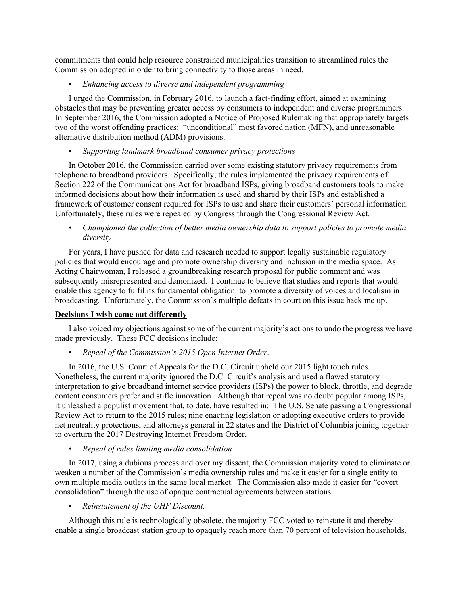commitments that could help resource constrained municipalities transition to streamlined rules the Commission adopted in order to bring connectivity to those areas in need.

## • *Enhancing access to diverse and independent programming*

I urged the Commission, in February 2016, to launch a fact-finding effort, aimed at examining obstacles that may be preventing greater access by consumers to independent and diverse programmers. In September 2016, the Commission adopted a Notice of Proposed Rulemaking that appropriately targets two of the worst offending practices: "unconditional" most favored nation (MFN), and unreasonable alternative distribution method (ADM) provisions.

• *Supporting landmark broadband consumer privacy protections*

In October 2016, the Commission carried over some existing statutory privacy requirements from telephone to broadband providers. Specifically, the rules implemented the privacy requirements of Section 222 of the Communications Act for broadband ISPs, giving broadband customers tools to make informed decisions about how their information is used and shared by their ISPs and established a framework of customer consent required for ISPs to use and share their customers' personal information. Unfortunately, these rules were repealed by Congress through the Congressional Review Act.

• *Championed the collection of better media ownership data to support policies to promote media diversity*

For years, I have pushed for data and research needed to support legally sustainable regulatory policies that would encourage and promote ownership diversity and inclusion in the media space. As Acting Chairwoman, I released a groundbreaking research proposal for public comment and was subsequently misrepresented and demonized. I continue to believe that studies and reports that would enable this agency to fulfil its fundamental obligation: to promote a diversity of voices and localism in broadcasting. Unfortunately, the Commission's multiple defeats in court on this issue back me up.

# **Decisions I wish came out differently**

I also voiced my objections against some of the current majority's actions to undo the progress we have made previously. These FCC decisions include:

• *Repeal of the Commission's 2015 Open Internet Order*.

In 2016, the U.S. Court of Appeals for the D.C. Circuit upheld our 2015 light touch rules. Nonetheless, the current majority ignored the D.C. Circuit's analysis and used a flawed statutory interpretation to give broadband internet service providers (ISPs) the power to block, throttle, and degrade content consumers prefer and stifle innovation. Although that repeal was no doubt popular among ISPs, it unleashed a populist movement that, to date, have resulted in: The U.S. Senate passing a Congressional Review Act to return to the 2015 rules; nine enacting legislation or adopting executive orders to provide net neutrality protections, and attorneys general in 22 states and the District of Columbia joining together to overturn the 2017 Destroying Internet Freedom Order.

• *Repeal of rules limiting media consolidation*

In 2017, using a dubious process and over my dissent, the Commission majority voted to eliminate or weaken a number of the Commission's media ownership rules and make it easier for a single entity to own multiple media outlets in the same local market. The Commission also made it easier for "covert consolidation" through the use of opaque contractual agreements between stations.

• *Reinstatement of the UHF Discount.*

Although this rule is technologically obsolete, the majority FCC voted to reinstate it and thereby enable a single broadcast station group to opaquely reach more than 70 percent of television households.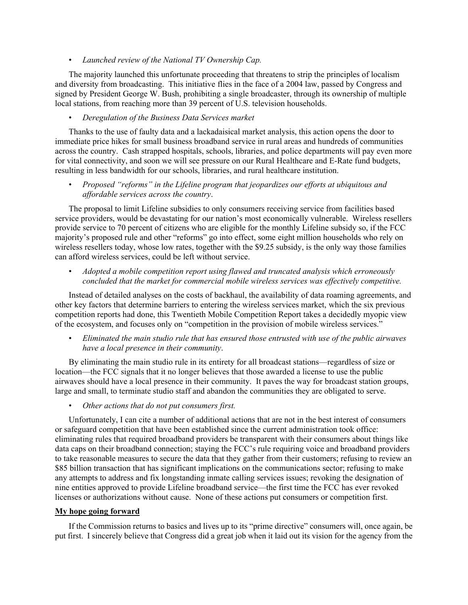• *Launched review of the National TV Ownership Cap.*

The majority launched this unfortunate proceeding that threatens to strip the principles of localism and diversity from broadcasting. This initiative flies in the face of a 2004 law, passed by Congress and signed by President George W. Bush, prohibiting a single broadcaster, through its ownership of multiple local stations, from reaching more than 39 percent of U.S. television households.

## • *Deregulation of the Business Data Services market*

Thanks to the use of faulty data and a lackadaisical market analysis, this action opens the door to immediate price hikes for small business broadband service in rural areas and hundreds of communities across the country. Cash strapped hospitals, schools, libraries, and police departments will pay even more for vital connectivity, and soon we will see pressure on our Rural Healthcare and E-Rate fund budgets, resulting in less bandwidth for our schools, libraries, and rural healthcare institution.

• *Proposed "reforms" in the Lifeline program that jeopardizes our efforts at ubiquitous and affordable services across the country*.

The proposal to limit Lifeline subsidies to only consumers receiving service from facilities based service providers, would be devastating for our nation's most economically vulnerable. Wireless resellers provide service to 70 percent of citizens who are eligible for the monthly Lifeline subsidy so, if the FCC majority's proposed rule and other "reforms" go into effect, some eight million households who rely on wireless resellers today, whose low rates, together with the \$9.25 subsidy, is the only way those families can afford wireless services, could be left without service.

• *Adopted a mobile competition report using flawed and truncated analysis which erroneously concluded that the market for commercial mobile wireless services was effectively competitive.*

Instead of detailed analyses on the costs of backhaul, the availability of data roaming agreements, and other key factors that determine barriers to entering the wireless services market, which the six previous competition reports had done, this Twentieth Mobile Competition Report takes a decidedly myopic view of the ecosystem, and focuses only on "competition in the provision of mobile wireless services."

• *Eliminated the main studio rule that has ensured those entrusted with use of the public airwaves have a local presence in their community*.

By eliminating the main studio rule in its entirety for all broadcast stations—regardless of size or location—the FCC signals that it no longer believes that those awarded a license to use the public airwaves should have a local presence in their community. It paves the way for broadcast station groups, large and small, to terminate studio staff and abandon the communities they are obligated to serve.

• *Other actions that do not put consumers first.*

Unfortunately, I can cite a number of additional actions that are not in the best interest of consumers or safeguard competition that have been established since the current administration took office: eliminating rules that required broadband providers be transparent with their consumers about things like data caps on their broadband connection; staying the FCC's rule requiring voice and broadband providers to take reasonable measures to secure the data that they gather from their customers; refusing to review an \$85 billion transaction that has significant implications on the communications sector; refusing to make any attempts to address and fix longstanding inmate calling services issues; revoking the designation of nine entities approved to provide Lifeline broadband service—the first time the FCC has ever revoked licenses or authorizations without cause. None of these actions put consumers or competition first.

#### **My hope going forward**

If the Commission returns to basics and lives up to its "prime directive" consumers will, once again, be put first. I sincerely believe that Congress did a great job when it laid out its vision for the agency from the